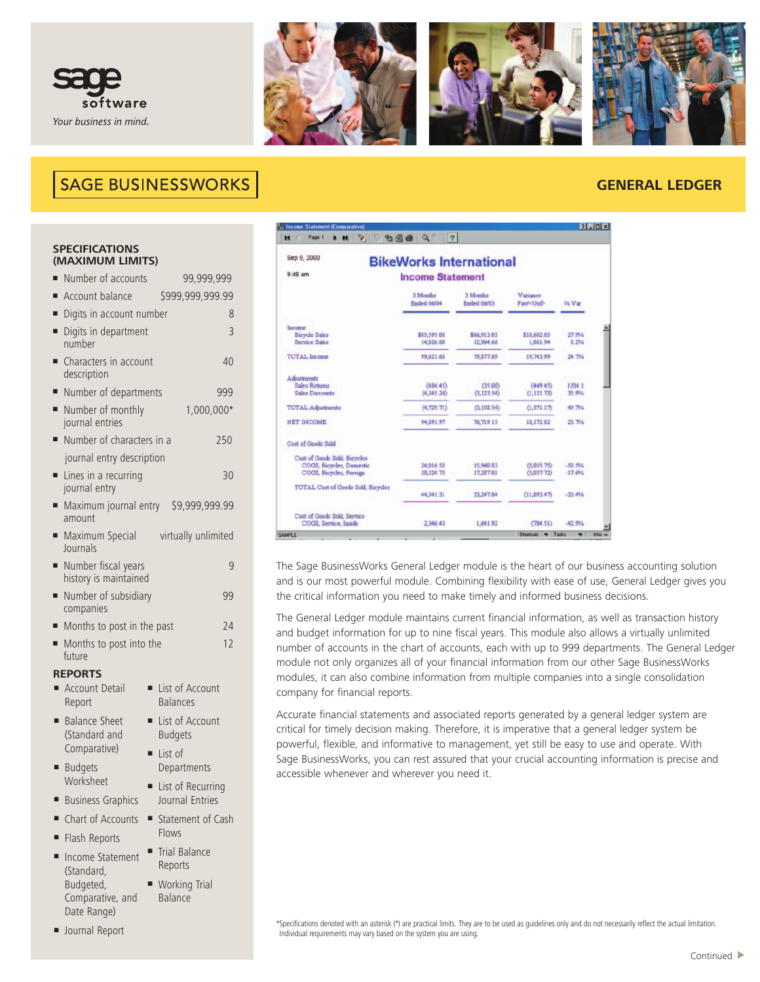



# **SAGE BUSINESSWORKS**

# **GENERAL LEDGER**

#### **SPECIFICATIONS (MAXIMUM LIMITS)**

| ٠ | Number of accounts                                 |                                     | 99,999,999           |  |  |  |  |
|---|----------------------------------------------------|-------------------------------------|----------------------|--|--|--|--|
| Ξ | Account balance                                    |                                     | \$999,999,999.99     |  |  |  |  |
| Ξ | Digits in account number                           |                                     | 8                    |  |  |  |  |
| Ξ | Digits in department<br>number                     |                                     | 3                    |  |  |  |  |
| Ξ | Characters in account<br>description               |                                     | 40                   |  |  |  |  |
| Ξ | Number of departments                              |                                     | 999                  |  |  |  |  |
| п | Number of monthly<br>journal entries               |                                     | 1,000,000*           |  |  |  |  |
| ٠ | Number of characters in a                          |                                     | 250                  |  |  |  |  |
|   | journal entry description                          |                                     |                      |  |  |  |  |
| ٠ | Lines in a recurring<br>journal entry              |                                     | 30                   |  |  |  |  |
| Ξ | Maximum journal entry \$9,999,999.99<br>amount     |                                     |                      |  |  |  |  |
| ٠ | Maximum Special<br>virtually unlimited<br>Journals |                                     |                      |  |  |  |  |
| Ξ | Number fiscal years<br>history is maintained       |                                     | 9                    |  |  |  |  |
| Ξ | Number of subsidiary<br>companies                  |                                     | 99                   |  |  |  |  |
| Ξ | Months to post in the past                         | 24                                  |                      |  |  |  |  |
| ٠ | Months to post into the<br>future                  |                                     | 12                   |  |  |  |  |
|   | <b>REPORTS</b>                                     |                                     |                      |  |  |  |  |
|   | <b>Account Detail</b><br>Report                    | <b>Balances</b>                     | List of Account      |  |  |  |  |
| Ξ | <b>Balance Sheet</b><br>Ξ<br>(Standard and         | <b>Budgets</b>                      | List of Account      |  |  |  |  |
|   | Comparative)<br>$\blacksquare$                     | List of                             |                      |  |  |  |  |
| Ξ | <b>Budgets</b>                                     |                                     | Departments          |  |  |  |  |
|   |                                                    | Worksheet<br>List of Recurring<br>٠ |                      |  |  |  |  |
| Ξ | <b>Business Graphics</b>                           |                                     | Journal Entries      |  |  |  |  |
| П | Chart of Accounts<br>$\blacksquare$                | Flows                               | Statement of Cash    |  |  |  |  |
| ■ | Flash Reports                                      |                                     | <b>Trial Balance</b> |  |  |  |  |
|   | Incomof                                            |                                     |                      |  |  |  |  |

**■** Income Statement (Standard, Budgeted, Comparative, and Date Range)

Reports ■ Working Trial Balance

**■** Journal Report

| Sep 9, 2000                                                     | <b>BikeWorks International</b> |                                |                             |                 |
|-----------------------------------------------------------------|--------------------------------|--------------------------------|-----------------------------|-----------------|
| $9.48$ am                                                       | <b>Income Statement</b>        |                                |                             |                 |
|                                                                 | 3 Months<br><b>Ended 06/04</b> | 3 Months<br><b>Ended 06/03</b> | Vanance<br>Fau/ <unf></unf> | % Var           |
| Income<br><b>Bicycle Sales</b>                                  | \$85,595.08                    | \$66,913.03                    | \$18,682.05                 | 27.9%           |
| <b>Service Sales</b>                                            | 14,026.60                      | 12,964.66                      | 1,061.94                    | 8.2%            |
| <b>TOTAL</b> Income                                             | 99,621.68                      | 79,877.69                      | 19,743.99                   | 24.7%           |
| <b>Adjustments</b>                                              |                                |                                |                             |                 |
| <b>Sales Returns</b><br><b>Sales Discounts</b>                  | (484.45)<br>(4, 245.26)        | (35.00)<br>(3, 123.54)         | (449.45)<br>(1, 121.72)     | 1284.1<br>35.9% |
| <b>TOTAL Adjustments</b>                                        | (4, 729.71)                    | (3,158.54)                     | (1,571.17)                  | 49.7%           |
| <b>NET INCOME</b>                                               | 94,891.97                      | 76,719.15                      | 18,172.82                   | 23.7%           |
| <b>Cost of Goods Sold</b>                                       |                                |                                |                             |                 |
| <b>Cost of Goods Sold, Bicycles</b><br>COGS, Bicycles, Domestic | 24,016.58                      | 15,960.83                      | (8,055,75)                  | $-50.5%$        |
| COGS, Bicycles, Foreign                                         | 20.324.73                      | 17,287.01                      | (3,037.72)                  | $-17.6%$        |
| <b>TOTAL Cost of Goods Sold, Bicycles</b>                       | 44,341.31                      | 33,247.84                      | (11,093.47)                 | $-33.4%$        |
| Cost of Goods Sold, Service<br>COGS, Service, Inside            | 2,346.43                       | 1.641.92                       | (704.51)                    | $-42.9%$        |

The Sage BusinessWorks General Ledger module is the heart of our business accounting solution and is our most powerful module. Combining flexibility with ease of use, General Ledger gives you the critical information you need to make timely and informed business decisions.

The General Ledger module maintains current financial information, as well as transaction history and budget information for up to nine fiscal years. This module also allows a virtually unlimited number of accounts in the chart of accounts, each with up to 999 departments. The General Ledger module not only organizes all of your financial information from our other Sage BusinessWorks modules, it can also combine information from multiple companies into a single consolidation company for financial reports.

Accurate financial statements and associated reports generated by a general ledger system are critical for timely decision making. Therefore, it is imperative that a general ledger system be powerful, flexible, and informative to management, yet still be easy to use and operate. With Sage BusinessWorks, you can rest assured that your crucial accounting information is precise and accessible whenever and wherever you need it.

\*Specifications denoted with an asterisk (\*) are practical limits. They are to be used as guidelines only and do not necessarily reflect the actual limitation. Individual requirements may vary based on the system you are using.